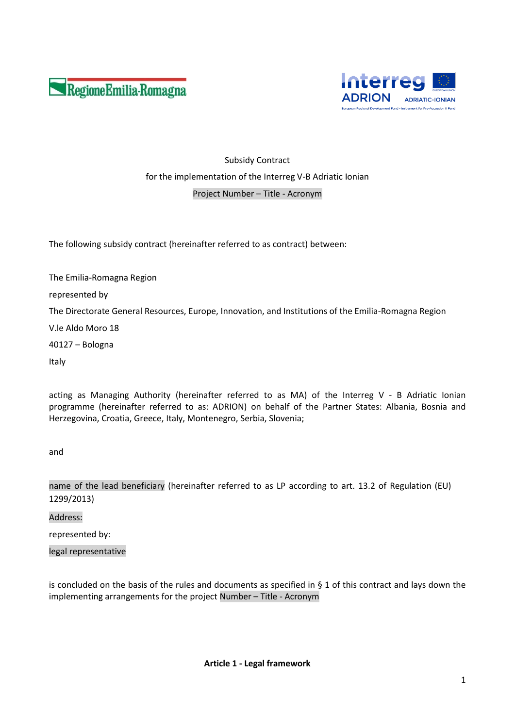



# Subsidy Contract for the implementation of the Interreg V-B Adriatic Ionian

# Project Number – Title - Acronym

The following subsidy contract (hereinafter referred to as contract) between:

The Emilia-Romagna Region

represented by

The Directorate General Resources, Europe, Innovation, and Institutions of the Emilia-Romagna Region

V.le Aldo Moro 18

40127 – Bologna

Italy

acting as Managing Authority (hereinafter referred to as MA) of the Interreg V - B Adriatic Ionian programme (hereinafter referred to as: ADRION) on behalf of the Partner States: Albania, Bosnia and Herzegovina, Croatia, Greece, Italy, Montenegro, Serbia, Slovenia;

and

name of the lead beneficiary (hereinafter referred to as LP according to art. 13.2 of Regulation (EU) 1299/2013)

Address:

represented by:

legal representative

is concluded on the basis of the rules and documents as specified in  $\S$  1 of this contract and lays down the implementing arrangements for the project Number – Title - Acronym

**Article 1 - Legal framework**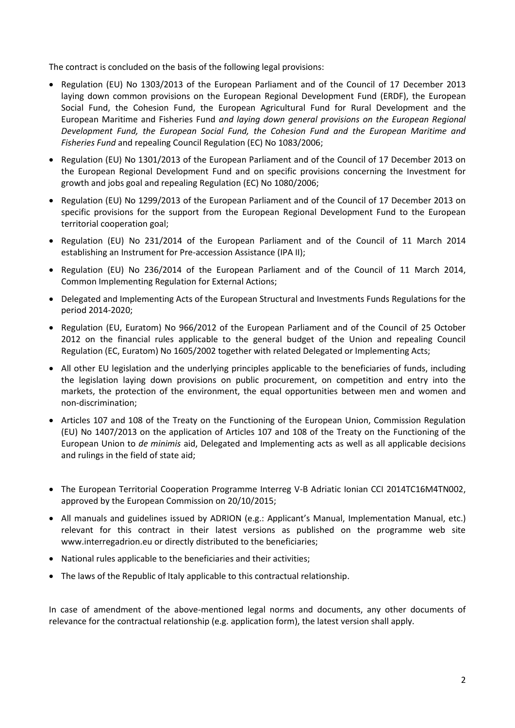The contract is concluded on the basis of the following legal provisions:

- Regulation (EU) No 1303/2013 of the European Parliament and of the Council of 17 December 2013 laying down common provisions on the European Regional Development Fund (ERDF), the European Social Fund, the Cohesion Fund, the European Agricultural Fund for Rural Development and the European Maritime and Fisheries Fund *and laying down general provisions on the European Regional Development Fund, the European Social Fund, the Cohesion Fund and the European Maritime and Fisheries Fund* and repealing Council Regulation (EC) No 1083/2006;
- Regulation (EU) No 1301/2013 of the European Parliament and of the Council of 17 December 2013 on the European Regional Development Fund and on specific provisions concerning the Investment for growth and jobs goal and repealing Regulation (EC) No 1080/2006;
- Regulation (EU) No 1299/2013 of the European Parliament and of the Council of 17 December 2013 on specific provisions for the support from the European Regional Development Fund to the European territorial cooperation goal;
- Regulation (EU) No 231/2014 of the European Parliament and of the Council of 11 March 2014 establishing an Instrument for Pre-accession Assistance (IPA II);
- Regulation (EU) No 236/2014 of the European Parliament and of the Council of 11 March 2014, Common Implementing Regulation for External Actions;
- Delegated and Implementing Acts of the European Structural and Investments Funds Regulations for the period 2014-2020;
- Regulation (EU, Euratom) No 966/2012 of the European Parliament and of the Council of 25 October 2012 on the financial rules applicable to the general budget of the Union and repealing Council Regulation (EC, Euratom) No 1605/2002 together with related Delegated or Implementing Acts;
- All other EU legislation and the underlying principles applicable to the beneficiaries of funds, including the legislation laying down provisions on public procurement, on competition and entry into the markets, the protection of the environment, the equal opportunities between men and women and non-discrimination;
- Articles 107 and 108 of the Treaty on the Functioning of the European Union, Commission Regulation (EU) No 1407/2013 on the application of Articles 107 and 108 of the Treaty on the Functioning of the European Union to *de minimis* aid, Delegated and Implementing acts as well as all applicable decisions and rulings in the field of state aid;
- The European Territorial Cooperation Programme Interreg V-B Adriatic Ionian CCI 2014TC16M4TN002, approved by the European Commission on 20/10/2015;
- All manuals and guidelines issued by ADRION (e.g.: Applicant's Manual, Implementation Manual, etc.) relevant for this contract in their latest versions as published on the programme web site [www.interrega](http://www.interreg/)drion.eu or directly distributed to the beneficiaries;
- National rules applicable to the beneficiaries and their activities;
- The laws of the Republic of Italy applicable to this contractual relationship.

In case of amendment of the above-mentioned legal norms and documents, any other documents of relevance for the contractual relationship (e.g. application form), the latest version shall apply.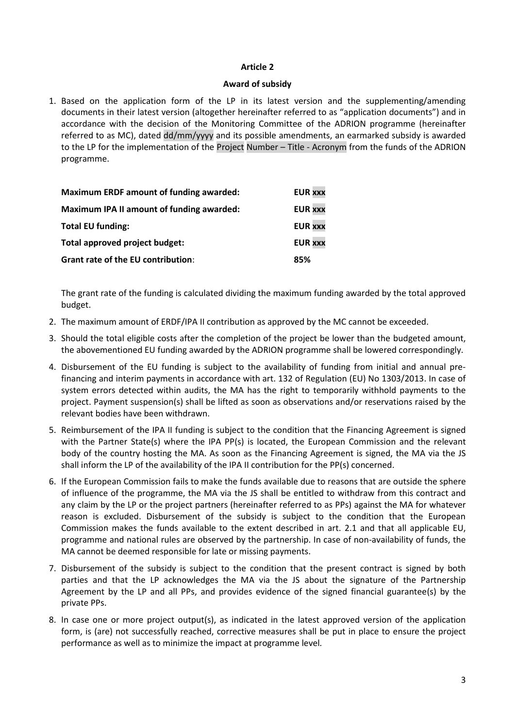## **Article 2**

## **Award of subsidy**

1. Based on the application form of the LP in its latest version and the supplementing/amending documents in their latest version (altogether hereinafter referred to as "application documents") and in accordance with the decision of the Monitoring Committee of the ADRION programme (hereinafter referred to as MC), dated dd/mm/yyyy and its possible amendments, an earmarked subsidy is awarded to the LP for the implementation of the Project Number – Title - Acronym from the funds of the ADRION programme.

| <b>Maximum ERDF amount of funding awarded:</b>   | <b>EUR XXX</b> |
|--------------------------------------------------|----------------|
| <b>Maximum IPA II amount of funding awarded:</b> | <b>EUR XXX</b> |
| <b>Total EU funding:</b>                         | <b>EUR XXX</b> |
| Total approved project budget:                   | <b>EUR XXX</b> |
| <b>Grant rate of the EU contribution:</b>        | 85%            |

The grant rate of the funding is calculated dividing the maximum funding awarded by the total approved budget.

- 2. The maximum amount of ERDF/IPA II contribution as approved by the MC cannot be exceeded.
- 3. Should the total eligible costs after the completion of the project be lower than the budgeted amount, the abovementioned EU funding awarded by the ADRION programme shall be lowered correspondingly.
- 4. Disbursement of the EU funding is subject to the availability of funding from initial and annual prefinancing and interim payments in accordance with art. 132 of Regulation (EU) No 1303/2013. In case of system errors detected within audits, the MA has the right to temporarily withhold payments to the project. Payment suspension(s) shall be lifted as soon as observations and/or reservations raised by the relevant bodies have been withdrawn.
- 5. Reimbursement of the IPA II funding is subject to the condition that the Financing Agreement is signed with the Partner State(s) where the IPA PP(s) is located, the European Commission and the relevant body of the country hosting the MA. As soon as the Financing Agreement is signed, the MA via the JS shall inform the LP of the availability of the IPA II contribution for the PP(s) concerned.
- 6. If the European Commission fails to make the funds available due to reasons that are outside the sphere of influence of the programme, the MA via the JS shall be entitled to withdraw from this contract and any claim by the LP or the project partners (hereinafter referred to as PPs) against the MA for whatever reason is excluded. Disbursement of the subsidy is subject to the condition that the European Commission makes the funds available to the extent described in art. 2.1 and that all applicable EU, programme and national rules are observed by the partnership. In case of non-availability of funds, the MA cannot be deemed responsible for late or missing payments.
- 7. Disbursement of the subsidy is subject to the condition that the present contract is signed by both parties and that the LP acknowledges the MA via the JS about the signature of the Partnership Agreement by the LP and all PPs, and provides evidence of the signed financial guarantee(s) by the private PPs.
- 8. In case one or more project output(s), as indicated in the latest approved version of the application form, is (are) not successfully reached, corrective measures shall be put in place to ensure the project performance as well as to minimize the impact at programme level*.*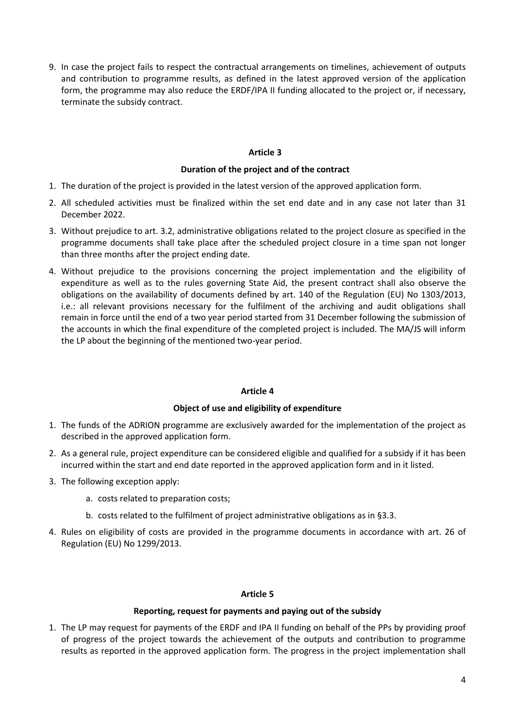9. In case the project fails to respect the contractual arrangements on timelines, achievement of outputs and contribution to programme results, as defined in the latest approved version of the application form, the programme may also reduce the ERDF/IPA II funding allocated to the project or, if necessary, terminate the subsidy contract.

## **Article 3**

## **Duration of the project and of the contract**

- 1. The duration of the project is provided in the latest version of the approved application form.
- 2. All scheduled activities must be finalized within the set end date and in any case not later than 31 December 2022.
- 3. Without prejudice to art. 3.2, administrative obligations related to the project closure as specified in the programme documents shall take place after the scheduled project closure in a time span not longer than three months after the project ending date.
- 4. Without prejudice to the provisions concerning the project implementation and the eligibility of expenditure as well as to the rules governing State Aid, the present contract shall also observe the obligations on the availability of documents defined by art. 140 of the Regulation (EU) No 1303/2013, i.e.: all relevant provisions necessary for the fulfilment of the archiving and audit obligations shall remain in force until the end of a two year period started from 31 December following the submission of the accounts in which the final expenditure of the completed project is included. The MA/JS will inform the LP about the beginning of the mentioned two-year period.

## **Article 4**

## **Object of use and eligibility of expenditure**

- 1. The funds of the ADRION programme are exclusively awarded for the implementation of the project as described in the approved application form.
- 2. As a general rule, project expenditure can be considered eligible and qualified for a subsidy if it has been incurred within the start and end date reported in the approved application form and in it listed.
- 3. The following exception apply:
	- a. costs related to preparation costs;
	- b. costs related to the fulfilment of project administrative obligations as in §3.3.
- 4. Rules on eligibility of costs are provided in the programme documents in accordance with art. 26 of Regulation (EU) No 1299/2013.

#### **Article 5**

## **Reporting, request for payments and paying out of the subsidy**

1. The LP may request for payments of the ERDF and IPA II funding on behalf of the PPs by providing proof of progress of the project towards the achievement of the outputs and contribution to programme results as reported in the approved application form. The progress in the project implementation shall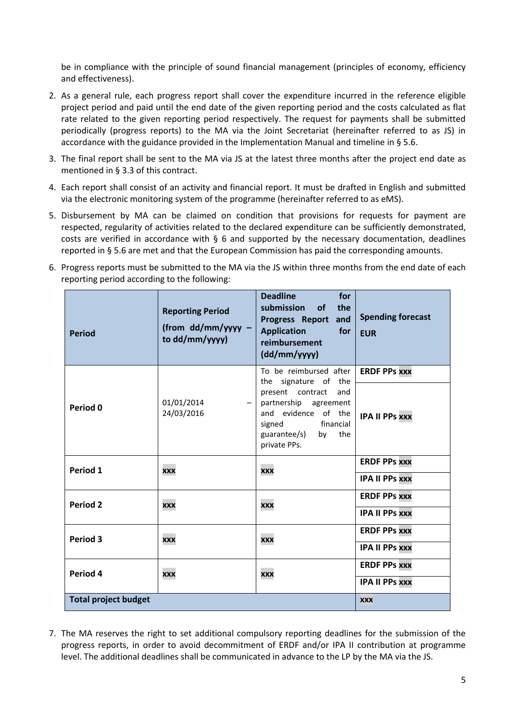be in compliance with the principle of sound financial management (principles of economy, efficiency and effectiveness).

- 2. As a general rule, each progress report shall cover the expenditure incurred in the reference eligible project period and paid until the end date of the given reporting period and the costs calculated as flat rate related to the given reporting period respectively. The request for payments shall be submitted periodically (progress reports) to the MA via the Joint Secretariat (hereinafter referred to as JS) in accordance with the guidance provided in the Implementation Manual and timeline in § 5.6.
- 3. The final report shall be sent to the MA via JS at the latest three months after the project end date as mentioned in § 3.3 of this contract.
- 4. Each report shall consist of an activity and financial report. It must be drafted in English and submitted via the electronic monitoring system of the programme (hereinafter referred to as eMS).
- 5. Disbursement by MA can be claimed on condition that provisions for requests for payment are respected, regularity of activities related to the declared expenditure can be sufficiently demonstrated, costs are verified in accordance with  $\S$  6 and supported by the necessary documentation, deadlines reported in § 5.6 are met and that the European Commission has paid the corresponding amounts.
- 6. Progress reports must be submitted to the MA via the JS within three months from the end date of each reporting period according to the following:

| <b>Period</b>               | <b>Reporting Period</b><br>(from $dd/mm/yyyy -$<br>to dd/mm/yyyy) | <b>Deadline</b><br>for<br>submission<br>of<br>the<br>Progress Report and<br><b>Application</b><br>for<br>reimbursement<br>(dd/mm/yyyy)                                                  | <b>Spending forecast</b><br><b>EUR</b>       |
|-----------------------------|-------------------------------------------------------------------|-----------------------------------------------------------------------------------------------------------------------------------------------------------------------------------------|----------------------------------------------|
| Period 0                    | 01/01/2014<br>24/03/2016                                          | To be reimbursed after<br>the signature of the<br>present contract<br>and<br>partnership agreement<br>and evidence of the<br>financial<br>signed<br>guarantee/s) by the<br>private PPs. | <b>ERDF PPS XXX</b><br><b>IPA II PPs XXX</b> |
| Period 1                    | <b>XXX</b>                                                        | <b>XXX</b>                                                                                                                                                                              | <b>ERDF PPS XXX</b><br><b>IPA II PPs XXX</b> |
| Period 2                    | <b>XXX</b>                                                        | <b>XXX</b>                                                                                                                                                                              | <b>ERDF PPs XXX</b><br><b>IPA II PPs XXX</b> |
| Period 3                    | <b>XXX</b>                                                        | <b>XXX</b>                                                                                                                                                                              | <b>ERDF PPs XXX</b><br><b>IPA II PPs XXX</b> |
| Period 4                    | <b>XXX</b>                                                        | <b>XXX</b>                                                                                                                                                                              | <b>ERDF PPs XXX</b><br><b>IPA II PPs XXX</b> |
| <b>Total project budget</b> |                                                                   |                                                                                                                                                                                         | <b>XXX</b>                                   |

7. The MA reserves the right to set additional compulsory reporting deadlines for the submission of the progress reports, in order to avoid decommitment of ERDF and/or IPA II contribution at programme level. The additional deadlines shall be communicated in advance to the LP by the MA via the JS.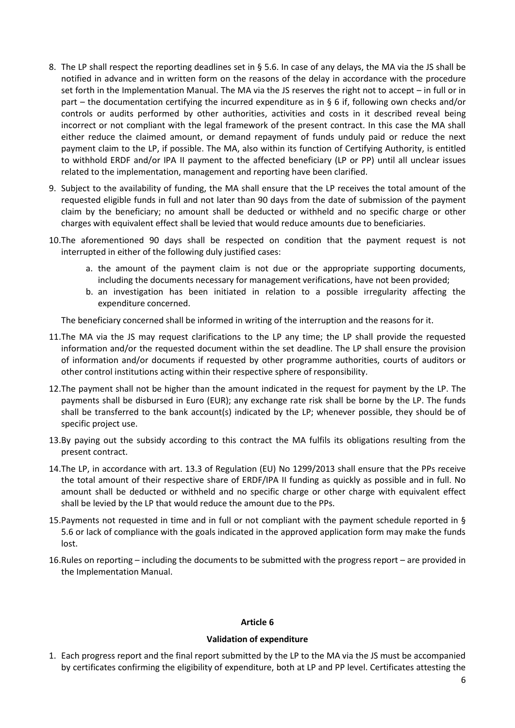- 8. The LP shall respect the reporting deadlines set in § 5.6. In case of any delays, the MA via the JS shall be notified in advance and in written form on the reasons of the delay in accordance with the procedure set forth in the Implementation Manual. The MA via the JS reserves the right not to accept – in full or in part – the documentation certifying the incurred expenditure as in § 6 if, following own checks and/or controls or audits performed by other authorities, activities and costs in it described reveal being incorrect or not compliant with the legal framework of the present contract. In this case the MA shall either reduce the claimed amount, or demand repayment of funds unduly paid or reduce the next payment claim to the LP, if possible. The MA, also within its function of Certifying Authority, is entitled to withhold ERDF and/or IPA II payment to the affected beneficiary (LP or PP) until all unclear issues related to the implementation, management and reporting have been clarified.
- 9. Subject to the availability of funding, the MA shall ensure that the LP receives the total amount of the requested eligible funds in full and not later than 90 days from the date of submission of the payment claim by the beneficiary; no amount shall be deducted or withheld and no specific charge or other charges with equivalent effect shall be levied that would reduce amounts due to beneficiaries.
- 10.The aforementioned 90 days shall be respected on condition that the payment request is not interrupted in either of the following duly justified cases:
	- a. the amount of the payment claim is not due or the appropriate supporting documents, including the documents necessary for management verifications, have not been provided;
	- b. an investigation has been initiated in relation to a possible irregularity affecting the expenditure concerned.

The beneficiary concerned shall be informed in writing of the interruption and the reasons for it.

- 11.The MA via the JS may request clarifications to the LP any time; the LP shall provide the requested information and/or the requested document within the set deadline. The LP shall ensure the provision of information and/or documents if requested by other programme authorities, courts of auditors or other control institutions acting within their respective sphere of responsibility.
- 12.The payment shall not be higher than the amount indicated in the request for payment by the LP. The payments shall be disbursed in Euro (EUR); any exchange rate risk shall be borne by the LP. The funds shall be transferred to the bank account(s) indicated by the LP; whenever possible, they should be of specific project use.
- 13.By paying out the subsidy according to this contract the MA fulfils its obligations resulting from the present contract.
- 14.The LP, in accordance with art. 13.3 of Regulation (EU) No 1299/2013 shall ensure that the PPs receive the total amount of their respective share of ERDF/IPA II funding as quickly as possible and in full. No amount shall be deducted or withheld and no specific charge or other charge with equivalent effect shall be levied by the LP that would reduce the amount due to the PPs.
- 15.Payments not requested in time and in full or not compliant with the payment schedule reported in § 5.6 or lack of compliance with the goals indicated in the approved application form may make the funds lost.
- 16.Rules on reporting including the documents to be submitted with the progress report are provided in the Implementation Manual.

## **Article 6**

## **Validation of expenditure**

1. Each progress report and the final report submitted by the LP to the MA via the JS must be accompanied by certificates confirming the eligibility of expenditure, both at LP and PP level. Certificates attesting the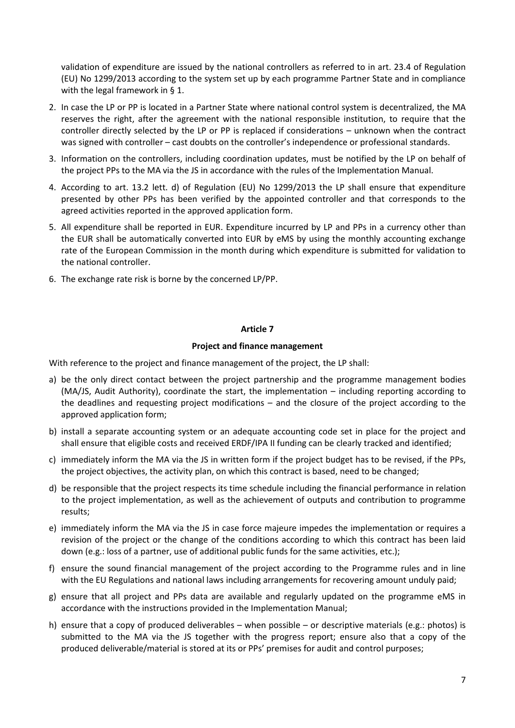validation of expenditure are issued by the national controllers as referred to in art. 23.4 of Regulation (EU) No 1299/2013 according to the system set up by each programme Partner State and in compliance with the legal framework in § 1.

- 2. In case the LP or PP is located in a Partner State where national control system is decentralized, the MA reserves the right, after the agreement with the national responsible institution, to require that the controller directly selected by the LP or PP is replaced if considerations – unknown when the contract was signed with controller – cast doubts on the controller's independence or professional standards.
- 3. Information on the controllers, including coordination updates, must be notified by the LP on behalf of the project PPs to the MA via the JS in accordance with the rules of the Implementation Manual.
- 4. According to art. 13.2 lett. d) of Regulation (EU) No 1299/2013 the LP shall ensure that expenditure presented by other PPs has been verified by the appointed controller and that corresponds to the agreed activities reported in the approved application form.
- 5. All expenditure shall be reported in EUR. Expenditure incurred by LP and PPs in a currency other than the EUR shall be automatically converted into EUR by eMS by using the monthly accounting exchange rate of the European Commission in the month during which expenditure is submitted for validation to the national controller.
- 6. The exchange rate risk is borne by the concerned LP/PP.

## **Article 7**

## **Project and finance management**

With reference to the project and finance management of the project, the LP shall:

- a) be the only direct contact between the project partnership and the programme management bodies (MA/JS, Audit Authority), coordinate the start, the implementation – including reporting according to the deadlines and requesting project modifications – and the closure of the project according to the approved application form;
- b) install a separate accounting system or an adequate accounting code set in place for the project and shall ensure that eligible costs and received ERDF/IPA II funding can be clearly tracked and identified;
- c) immediately inform the MA via the JS in written form if the project budget has to be revised, if the PPs, the project objectives, the activity plan, on which this contract is based, need to be changed;
- d) be responsible that the project respects its time schedule including the financial performance in relation to the project implementation, as well as the achievement of outputs and contribution to programme results;
- e) immediately inform the MA via the JS in case force majeure impedes the implementation or requires a revision of the project or the change of the conditions according to which this contract has been laid down (e.g.: loss of a partner, use of additional public funds for the same activities, etc.);
- f) ensure the sound financial management of the project according to the Programme rules and in line with the EU Regulations and national laws including arrangements for recovering amount unduly paid;
- g) ensure that all project and PPs data are available and regularly updated on the programme eMS in accordance with the instructions provided in the Implementation Manual;
- h) ensure that a copy of produced deliverables when possible or descriptive materials (e.g.: photos) is submitted to the MA via the JS together with the progress report; ensure also that a copy of the produced deliverable/material is stored at its or PPs' premises for audit and control purposes;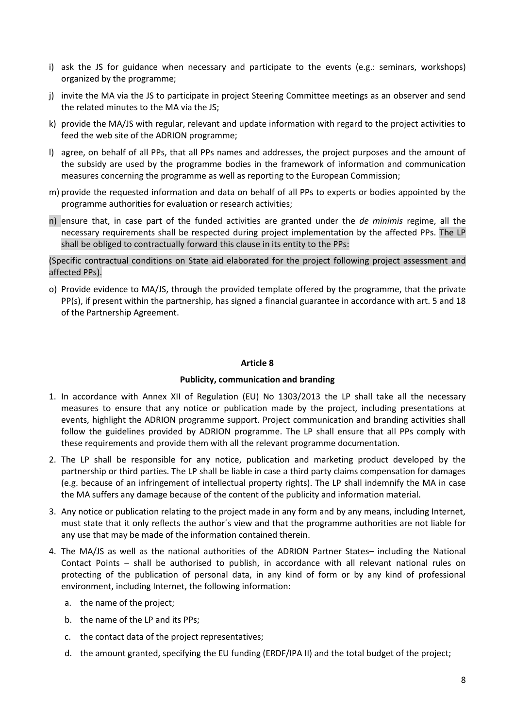- i) ask the JS for guidance when necessary and participate to the events (e.g.: seminars, workshops) organized by the programme;
- j) invite the MA via the JS to participate in project Steering Committee meetings as an observer and send the related minutes to the MA via the JS;
- k) provide the MA/JS with regular, relevant and update information with regard to the project activities to feed the web site of the ADRION programme;
- l) agree, on behalf of all PPs, that all PPs names and addresses, the project purposes and the amount of the subsidy are used by the programme bodies in the framework of information and communication measures concerning the programme as well as reporting to the European Commission;
- m) provide the requested information and data on behalf of all PPs to experts or bodies appointed by the programme authorities for evaluation or research activities;
- n) ensure that, in case part of the funded activities are granted under the *de minimis* regime, all the necessary requirements shall be respected during project implementation by the affected PPs. The LP shall be obliged to contractually forward this clause in its entity to the PPs:

(Specific contractual conditions on State aid elaborated for the project following project assessment and affected PPs).

o) Provide evidence to MA/JS, through the provided template offered by the programme, that the private PP(s), if present within the partnership, has signed a financial guarantee in accordance with art. 5 and 18 of the Partnership Agreement.

## **Article 8**

## **Publicity, communication and branding**

- 1. In accordance with Annex XII of Regulation (EU) No 1303/2013 the LP shall take all the necessary measures to ensure that any notice or publication made by the project, including presentations at events, highlight the ADRION programme support. Project communication and branding activities shall follow the guidelines provided by ADRION programme. The LP shall ensure that all PPs comply with these requirements and provide them with all the relevant programme documentation.
- 2. The LP shall be responsible for any notice, publication and marketing product developed by the partnership or third parties. The LP shall be liable in case a third party claims compensation for damages (e.g. because of an infringement of intellectual property rights). The LP shall indemnify the MA in case the MA suffers any damage because of the content of the publicity and information material.
- 3. Any notice or publication relating to the project made in any form and by any means, including Internet, must state that it only reflects the author´s view and that the programme authorities are not liable for any use that may be made of the information contained therein.
- 4. The MA/JS as well as the national authorities of the ADRION Partner States– including the National Contact Points – shall be authorised to publish, in accordance with all relevant national rules on protecting of the publication of personal data, in any kind of form or by any kind of professional environment, including Internet, the following information:
	- a. the name of the project;
	- b. the name of the LP and its PPs;
	- c. the contact data of the project representatives;
	- d. the amount granted, specifying the EU funding (ERDF/IPA II) and the total budget of the project;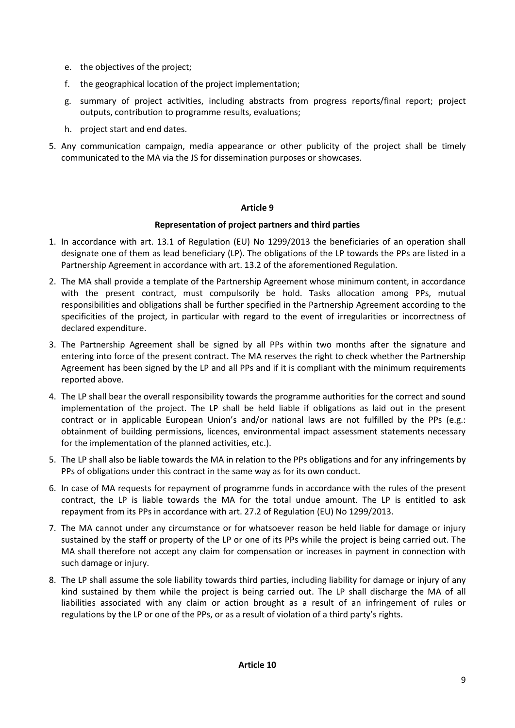- e. the objectives of the project;
- f. the geographical location of the project implementation;
- g. summary of project activities, including abstracts from progress reports/final report; project outputs, contribution to programme results, evaluations;
- h. project start and end dates.
- 5. Any communication campaign, media appearance or other publicity of the project shall be timely communicated to the MA via the JS for dissemination purposes or showcases.

## **Article 9**

## **Representation of project partners and third parties**

- 1. In accordance with art. 13.1 of Regulation (EU) No 1299/2013 the beneficiaries of an operation shall designate one of them as lead beneficiary (LP). The obligations of the LP towards the PPs are listed in a Partnership Agreement in accordance with art. 13.2 of the aforementioned Regulation.
- 2. The MA shall provide a template of the Partnership Agreement whose minimum content, in accordance with the present contract, must compulsorily be hold. Tasks allocation among PPs, mutual responsibilities and obligations shall be further specified in the Partnership Agreement according to the specificities of the project, in particular with regard to the event of irregularities or incorrectness of declared expenditure.
- 3. The Partnership Agreement shall be signed by all PPs within two months after the signature and entering into force of the present contract. The MA reserves the right to check whether the Partnership Agreement has been signed by the LP and all PPs and if it is compliant with the minimum requirements reported above.
- 4. The LP shall bear the overall responsibility towards the programme authorities for the correct and sound implementation of the project. The LP shall be held liable if obligations as laid out in the present contract or in applicable European Union's and/or national laws are not fulfilled by the PPs (e.g.: obtainment of building permissions, licences, environmental impact assessment statements necessary for the implementation of the planned activities, etc.).
- 5. The LP shall also be liable towards the MA in relation to the PPs obligations and for any infringements by PPs of obligations under this contract in the same way as for its own conduct.
- 6. In case of MA requests for repayment of programme funds in accordance with the rules of the present contract, the LP is liable towards the MA for the total undue amount. The LP is entitled to ask repayment from its PPs in accordance with art. 27.2 of Regulation (EU) No 1299/2013.
- 7. The MA cannot under any circumstance or for whatsoever reason be held liable for damage or injury sustained by the staff or property of the LP or one of its PPs while the project is being carried out. The MA shall therefore not accept any claim for compensation or increases in payment in connection with such damage or injury.
- 8. The LP shall assume the sole liability towards third parties, including liability for damage or injury of any kind sustained by them while the project is being carried out. The LP shall discharge the MA of all liabilities associated with any claim or action brought as a result of an infringement of rules or regulations by the LP or one of the PPs, or as a result of violation of a third party's rights.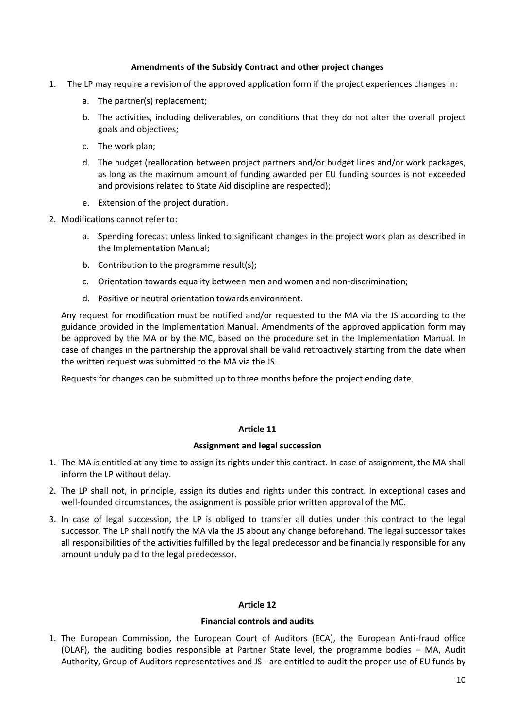## **Amendments of the Subsidy Contract and other project changes**

- 1. The LP may require a revision of the approved application form if the project experiences changes in:
	- a. The partner(s) replacement;
	- b. The activities, including deliverables, on conditions that they do not alter the overall project goals and objectives;
	- c. The work plan;
	- d. The budget (reallocation between project partners and/or budget lines and/or work packages, as long as the maximum amount of funding awarded per EU funding sources is not exceeded and provisions related to State Aid discipline are respected);
	- e. Extension of the project duration.
- 2. Modifications cannot refer to:
	- a. Spending forecast unless linked to significant changes in the project work plan as described in the Implementation Manual;
	- b. Contribution to the programme result(s);
	- c. Orientation towards equality between men and women and non-discrimination;
	- d. Positive or neutral orientation towards environment.

Any request for modification must be notified and/or requested to the MA via the JS according to the guidance provided in the Implementation Manual. Amendments of the approved application form may be approved by the MA or by the MC, based on the procedure set in the Implementation Manual. In case of changes in the partnership the approval shall be valid retroactively starting from the date when the written request was submitted to the MA via the JS.

Requests for changes can be submitted up to three months before the project ending date.

## **Article 11**

## **Assignment and legal succession**

- 1. The MA is entitled at any time to assign its rights under this contract. In case of assignment, the MA shall inform the LP without delay.
- 2. The LP shall not, in principle, assign its duties and rights under this contract. In exceptional cases and well-founded circumstances, the assignment is possible prior written approval of the MC.
- 3. In case of legal succession, the LP is obliged to transfer all duties under this contract to the legal successor. The LP shall notify the MA via the JS about any change beforehand. The legal successor takes all responsibilities of the activities fulfilled by the legal predecessor and be financially responsible for any amount unduly paid to the legal predecessor.

## **Article 12**

## **Financial controls and audits**

1. The European Commission, the European Court of Auditors (ECA), the European Anti-fraud office (OLAF), the auditing bodies responsible at Partner State level, the programme bodies – MA, Audit Authority, Group of Auditors representatives and JS - are entitled to audit the proper use of EU funds by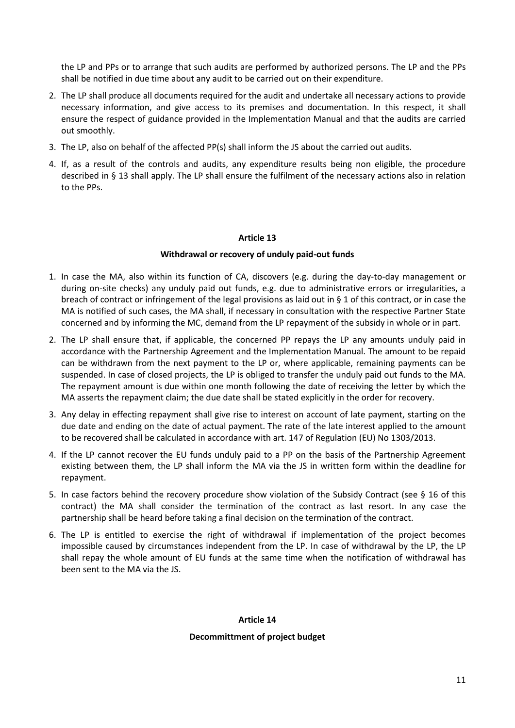the LP and PPs or to arrange that such audits are performed by authorized persons. The LP and the PPs shall be notified in due time about any audit to be carried out on their expenditure.

- 2. The LP shall produce all documents required for the audit and undertake all necessary actions to provide necessary information, and give access to its premises and documentation. In this respect, it shall ensure the respect of guidance provided in the Implementation Manual and that the audits are carried out smoothly.
- 3. The LP, also on behalf of the affected PP(s) shall inform the JS about the carried out audits.
- 4. If, as a result of the controls and audits, any expenditure results being non eligible, the procedure described in § 13 shall apply. The LP shall ensure the fulfilment of the necessary actions also in relation to the PPs.

## **Article 13**

#### **Withdrawal or recovery of unduly paid-out funds**

- 1. In case the MA, also within its function of CA, discovers (e.g. during the day-to-day management or during on-site checks) any unduly paid out funds, e.g. due to administrative errors or irregularities, a breach of contract or infringement of the legal provisions as laid out in § 1 of this contract, or in case the MA is notified of such cases, the MA shall, if necessary in consultation with the respective Partner State concerned and by informing the MC, demand from the LP repayment of the subsidy in whole or in part.
- 2. The LP shall ensure that, if applicable, the concerned PP repays the LP any amounts unduly paid in accordance with the Partnership Agreement and the Implementation Manual. The amount to be repaid can be withdrawn from the next payment to the LP or, where applicable, remaining payments can be suspended. In case of closed projects, the LP is obliged to transfer the unduly paid out funds to the MA. The repayment amount is due within one month following the date of receiving the letter by which the MA asserts the repayment claim; the due date shall be stated explicitly in the order for recovery.
- 3. Any delay in effecting repayment shall give rise to interest on account of late payment, starting on the due date and ending on the date of actual payment. The rate of the late interest applied to the amount to be recovered shall be calculated in accordance with art. 147 of Regulation (EU) No 1303/2013.
- 4. If the LP cannot recover the EU funds unduly paid to a PP on the basis of the Partnership Agreement existing between them, the LP shall inform the MA via the JS in written form within the deadline for repayment.
- 5. In case factors behind the recovery procedure show violation of the Subsidy Contract (see § 16 of this contract) the MA shall consider the termination of the contract as last resort. In any case the partnership shall be heard before taking a final decision on the termination of the contract.
- 6. The LP is entitled to exercise the right of withdrawal if implementation of the project becomes impossible caused by circumstances independent from the LP. In case of withdrawal by the LP, the LP shall repay the whole amount of EU funds at the same time when the notification of withdrawal has been sent to the MA via the JS.

#### **Article 14**

#### **Decommittment of project budget**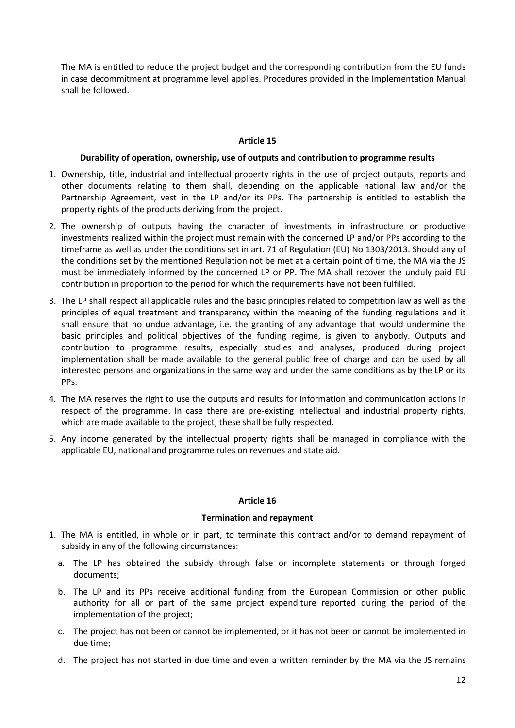The MA is entitled to reduce the project budget and the corresponding contribution from the EU funds in case decommitment at programme level applies. Procedures provided in the Implementation Manual shall be followed.

## **Article 15**

## **Durability of operation, ownership, use of outputs and contribution to programme results**

- 1. Ownership, title, industrial and intellectual property rights in the use of project outputs, reports and other documents relating to them shall, depending on the applicable national law and/or the Partnership Agreement, vest in the LP and/or its PPs. The partnership is entitled to establish the property rights of the products deriving from the project.
- 2. The ownership of outputs having the character of investments in infrastructure or productive investments realized within the project must remain with the concerned LP and/or PPs according to the timeframe as well as under the conditions set in art. 71 of Regulation (EU) No 1303/2013. Should any of the conditions set by the mentioned Regulation not be met at a certain point of time, the MA via the JS must be immediately informed by the concerned LP or PP. The MA shall recover the unduly paid EU contribution in proportion to the period for which the requirements have not been fulfilled.
- 3. The LP shall respect all applicable rules and the basic principles related to competition law as well as the principles of equal treatment and transparency within the meaning of the funding regulations and it shall ensure that no undue advantage, i.e. the granting of any advantage that would undermine the basic principles and political objectives of the funding regime, is given to anybody. Outputs and contribution to programme results, especially studies and analyses, produced during project implementation shall be made available to the general public free of charge and can be used by all interested persons and organizations in the same way and under the same conditions as by the LP or its PPs.
- 4. The MA reserves the right to use the outputs and results for information and communication actions in respect of the programme. In case there are pre-existing intellectual and industrial property rights, which are made available to the project, these shall be fully respected.
- 5. Any income generated by the intellectual property rights shall be managed in compliance with the applicable EU, national and programme rules on revenues and state aid.

## **Article 16**

## **Termination and repayment**

- 1. The MA is entitled, in whole or in part, to terminate this contract and/or to demand repayment of subsidy in any of the following circumstances:
	- a. The LP has obtained the subsidy through false or incomplete statements or through forged documents;
	- b. The LP and its PPs receive additional funding from the European Commission or other public authority for all or part of the same project expenditure reported during the period of the implementation of the project;
	- c. The project has not been or cannot be implemented, or it has not been or cannot be implemented in due time;
	- d. The project has not started in due time and even a written reminder by the MA via the JS remains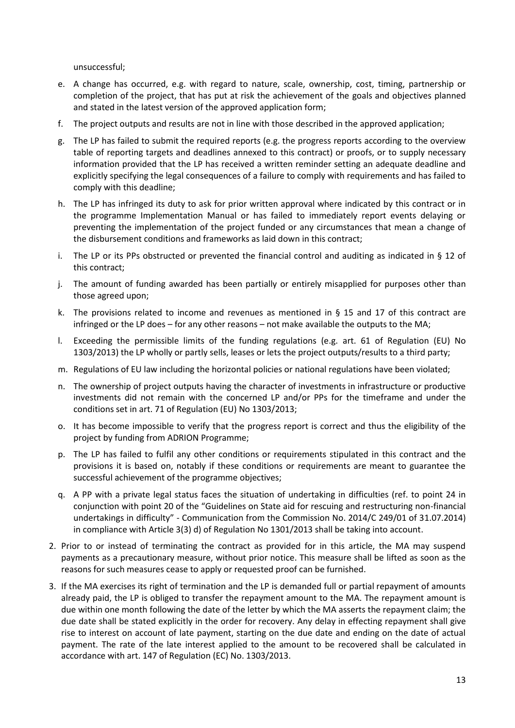unsuccessful;

- e. A change has occurred, e.g. with regard to nature, scale, ownership, cost, timing, partnership or completion of the project, that has put at risk the achievement of the goals and objectives planned and stated in the latest version of the approved application form;
- f. The project outputs and results are not in line with those described in the approved application;
- g. The LP has failed to submit the required reports (e.g. the progress reports according to the overview table of reporting targets and deadlines annexed to this contract) or proofs, or to supply necessary information provided that the LP has received a written reminder setting an adequate deadline and explicitly specifying the legal consequences of a failure to comply with requirements and has failed to comply with this deadline;
- h. The LP has infringed its duty to ask for prior written approval where indicated by this contract or in the programme Implementation Manual or has failed to immediately report events delaying or preventing the implementation of the project funded or any circumstances that mean a change of the disbursement conditions and frameworks as laid down in this contract;
- i. The LP or its PPs obstructed or prevented the financial control and auditing as indicated in § 12 of this contract;
- j. The amount of funding awarded has been partially or entirely misapplied for purposes other than those agreed upon;
- k. The provisions related to income and revenues as mentioned in § 15 and 17 of this contract are infringed or the LP does – for any other reasons – not make available the outputs to the MA;
- l. Exceeding the permissible limits of the funding regulations (e.g. art. 61 of Regulation (EU) No 1303/2013) the LP wholly or partly sells, leases or lets the project outputs/results to a third party;
- m. Regulations of EU law including the horizontal policies or national regulations have been violated;
- n. The ownership of project outputs having the character of investments in infrastructure or productive investments did not remain with the concerned LP and/or PPs for the timeframe and under the conditions set in art. 71 of Regulation (EU) No 1303/2013;
- o. It has become impossible to verify that the progress report is correct and thus the eligibility of the project by funding from ADRION Programme;
- p. The LP has failed to fulfil any other conditions or requirements stipulated in this contract and the provisions it is based on, notably if these conditions or requirements are meant to guarantee the successful achievement of the programme objectives;
- q. A PP with a private legal status faces the situation of undertaking in difficulties (ref. to point 24 in conjunction with point 20 of the "Guidelines on State aid for rescuing and restructuring non-financial undertakings in difficulty" - Communication from the Commission No. 2014/C 249/01 of 31.07.2014) in compliance with Article 3(3) d) of Regulation No 1301/2013 shall be taking into account.
- 2. Prior to or instead of terminating the contract as provided for in this article, the MA may suspend payments as a precautionary measure, without prior notice. This measure shall be lifted as soon as the reasons for such measures cease to apply or requested proof can be furnished.
- 3. If the MA exercises its right of termination and the LP is demanded full or partial repayment of amounts already paid, the LP is obliged to transfer the repayment amount to the MA. The repayment amount is due within one month following the date of the letter by which the MA asserts the repayment claim; the due date shall be stated explicitly in the order for recovery. Any delay in effecting repayment shall give rise to interest on account of late payment, starting on the due date and ending on the date of actual payment. The rate of the late interest applied to the amount to be recovered shall be calculated in accordance with art. 147 of Regulation (EC) No. 1303/2013.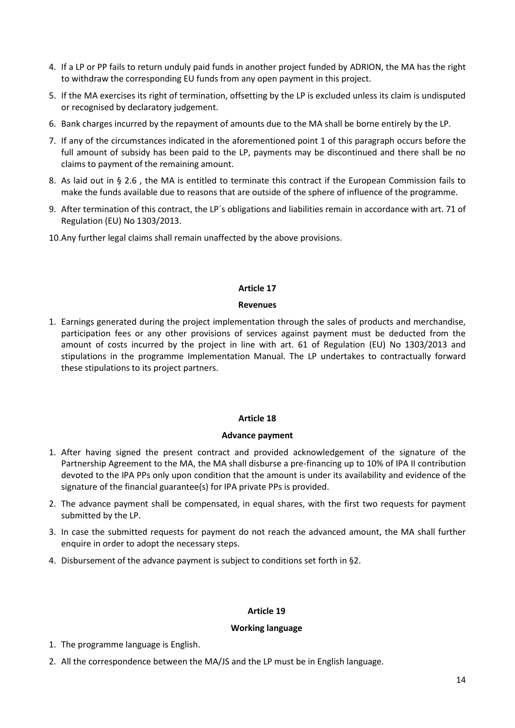- 4. If a LP or PP fails to return unduly paid funds in another project funded by ADRION, the MA has the right to withdraw the corresponding EU funds from any open payment in this project.
- 5. If the MA exercises its right of termination, offsetting by the LP is excluded unless its claim is undisputed or recognised by declaratory judgement.
- 6. Bank charges incurred by the repayment of amounts due to the MA shall be borne entirely by the LP.
- 7. If any of the circumstances indicated in the aforementioned point 1 of this paragraph occurs before the full amount of subsidy has been paid to the LP, payments may be discontinued and there shall be no claims to payment of the remaining amount.
- 8. As laid out in § 2.6 , the MA is entitled to terminate this contract if the European Commission fails to make the funds available due to reasons that are outside of the sphere of influence of the programme.
- 9. After termination of this contract, the LP´s obligations and liabilities remain in accordance with art. 71 of Regulation (EU) No 1303/2013.
- 10.Any further legal claims shall remain unaffected by the above provisions.

## **Article 17**

## **Revenues**

1. Earnings generated during the project implementation through the sales of products and merchandise, participation fees or any other provisions of services against payment must be deducted from the amount of costs incurred by the project in line with art. 61 of Regulation (EU) No 1303/2013 and stipulations in the programme Implementation Manual. The LP undertakes to contractually forward these stipulations to its project partners.

## **Article 18**

## **Advance payment**

- 1. After having signed the present contract and provided acknowledgement of the signature of the Partnership Agreement to the MA, the MA shall disburse a pre-financing up to 10% of IPA II contribution devoted to the IPA PPs only upon condition that the amount is under its availability and evidence of the signature of the financial guarantee(s) for IPA private PPs is provided.
- 2. The advance payment shall be compensated, in equal shares, with the first two requests for payment submitted by the LP.
- 3. In case the submitted requests for payment do not reach the advanced amount, the MA shall further enquire in order to adopt the necessary steps.
- 4. Disbursement of the advance payment is subject to conditions set forth in §2.

# **Article 19**

## **Working language**

- 1. The programme language is English.
- 2. All the correspondence between the MA/JS and the LP must be in English language.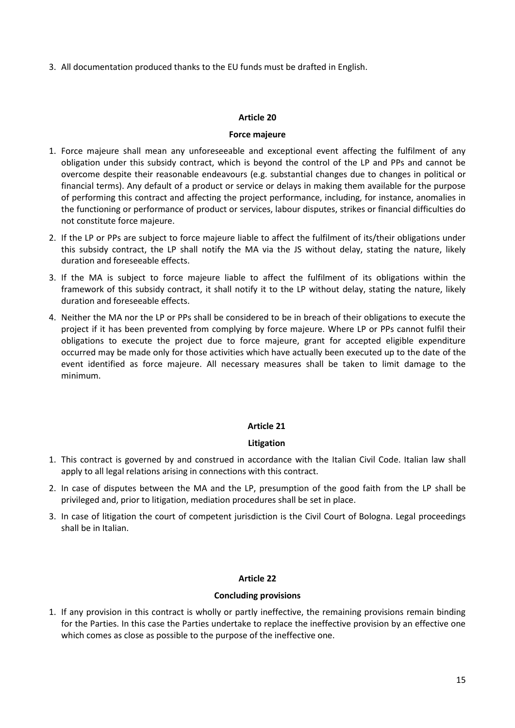3. All documentation produced thanks to the EU funds must be drafted in English.

## **Article 20**

## **Force majeure**

- 1. Force majeure shall mean any unforeseeable and exceptional event affecting the fulfilment of any obligation under this subsidy contract, which is beyond the control of the LP and PPs and cannot be overcome despite their reasonable endeavours (e.g. substantial changes due to changes in political or financial terms). Any default of a product or service or delays in making them available for the purpose of performing this contract and affecting the project performance, including, for instance, anomalies in the functioning or performance of product or services, labour disputes, strikes or financial difficulties do not constitute force majeure.
- 2. If the LP or PPs are subject to force majeure liable to affect the fulfilment of its/their obligations under this subsidy contract, the LP shall notify the MA via the JS without delay, stating the nature, likely duration and foreseeable effects.
- 3. If the MA is subject to force majeure liable to affect the fulfilment of its obligations within the framework of this subsidy contract, it shall notify it to the LP without delay, stating the nature, likely duration and foreseeable effects.
- 4. Neither the MA nor the LP or PPs shall be considered to be in breach of their obligations to execute the project if it has been prevented from complying by force majeure. Where LP or PPs cannot fulfil their obligations to execute the project due to force majeure, grant for accepted eligible expenditure occurred may be made only for those activities which have actually been executed up to the date of the event identified as force majeure. All necessary measures shall be taken to limit damage to the minimum.

## **Article 21**

# **Litigation**

- 1. This contract is governed by and construed in accordance with the Italian Civil Code. Italian law shall apply to all legal relations arising in connections with this contract.
- 2. In case of disputes between the MA and the LP, presumption of the good faith from the LP shall be privileged and, prior to litigation, mediation procedures shall be set in place.
- 3. In case of litigation the court of competent jurisdiction is the Civil Court of Bologna. Legal proceedings shall be in Italian.

## **Article 22**

## **Concluding provisions**

1. If any provision in this contract is wholly or partly ineffective, the remaining provisions remain binding for the Parties. In this case the Parties undertake to replace the ineffective provision by an effective one which comes as close as possible to the purpose of the ineffective one.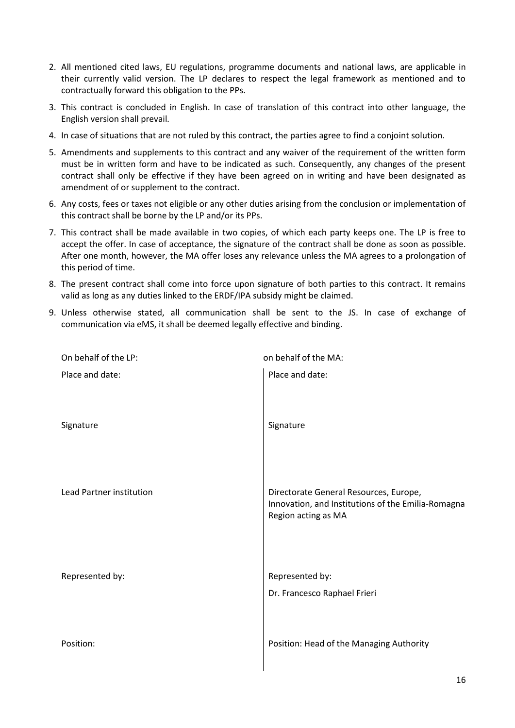- 2. All mentioned cited laws, EU regulations, programme documents and national laws, are applicable in their currently valid version. The LP declares to respect the legal framework as mentioned and to contractually forward this obligation to the PPs.
- 3. This contract is concluded in English. In case of translation of this contract into other language, the English version shall prevail.
- 4. In case of situations that are not ruled by this contract, the parties agree to find a conjoint solution.
- 5. Amendments and supplements to this contract and any waiver of the requirement of the written form must be in written form and have to be indicated as such. Consequently, any changes of the present contract shall only be effective if they have been agreed on in writing and have been designated as amendment of or supplement to the contract.
- 6. Any costs, fees or taxes not eligible or any other duties arising from the conclusion or implementation of this contract shall be borne by the LP and/or its PPs.
- 7. This contract shall be made available in two copies, of which each party keeps one. The LP is free to accept the offer. In case of acceptance, the signature of the contract shall be done as soon as possible. After one month, however, the MA offer loses any relevance unless the MA agrees to a prolongation of this period of time.
- 8. The present contract shall come into force upon signature of both parties to this contract. It remains valid as long as any duties linked to the ERDF/IPA subsidy might be claimed.
- 9. Unless otherwise stated, all communication shall be sent to the JS. In case of exchange of communication via eMS, it shall be deemed legally effective and binding.

| On behalf of the LP:     | on behalf of the MA:                                                                                                |
|--------------------------|---------------------------------------------------------------------------------------------------------------------|
| Place and date:          | Place and date:                                                                                                     |
| Signature                | Signature                                                                                                           |
| Lead Partner institution | Directorate General Resources, Europe,<br>Innovation, and Institutions of the Emilia-Romagna<br>Region acting as MA |
| Represented by:          | Represented by:<br>Dr. Francesco Raphael Frieri                                                                     |
| Position:                | Position: Head of the Managing Authority                                                                            |